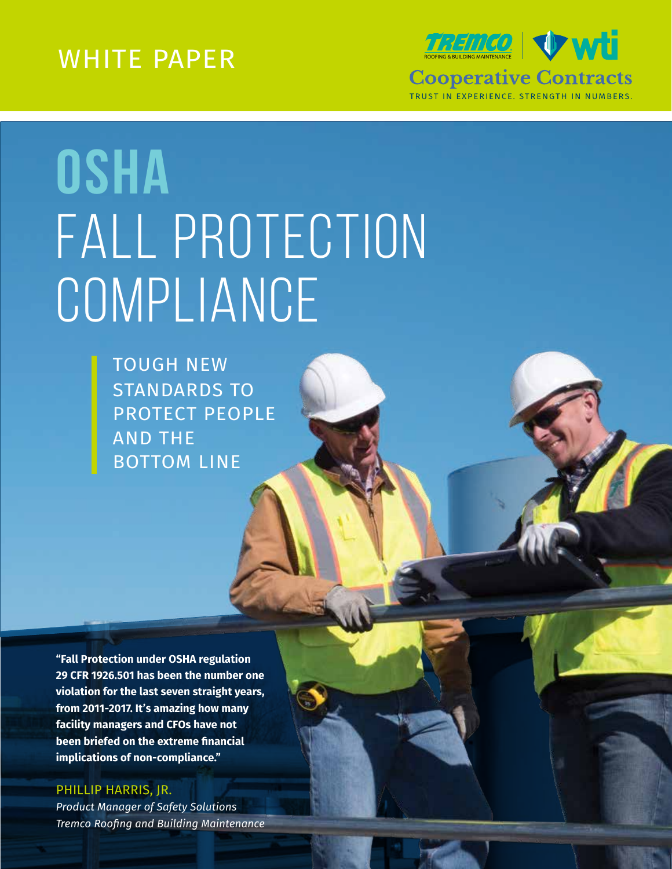WHITE PAPER ROOPER ROOPER ROOP COOPER ROOP CONTROL CONTROL TRUST IN EXPERIENCE. STRENGTH IN NUMBERS.

# **OSHA**  FALL PROTECTION COMPLIANCE

TOUGH NEW STANDARDS TO PROTECT PEOPLE AND THE BOTTOM LINE

**"Fall Protection under OSHA regulation 29 CFR 1926.501 has been the number one violation for the last seven straight years, from 2011-2017. It's amazing how many facility managers and CFOs have not been briefed on the extreme financial implications of non-compliance."**

PHILLIP HARRIS, JR. *Product Manager of Safety Solutions Tremco Roofing and Building Maintenance*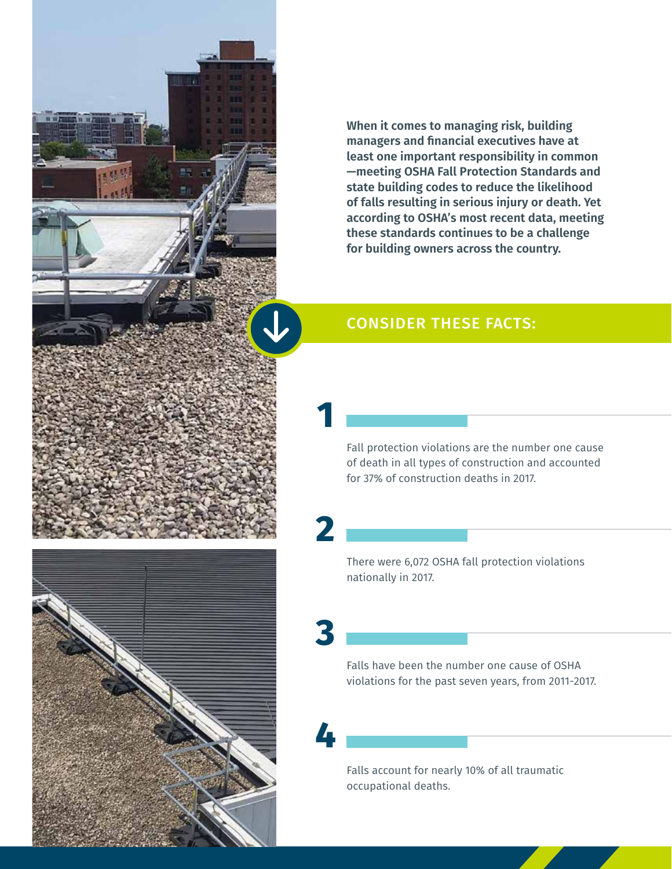**When it comes to managing risk, building managers and financial executives have at least one important responsibility in common —meeting OSHA Fall Protection Standards and state building codes to reduce the likelihood of falls resulting in serious injury or death. Yet according to OSHA's most recent data, meeting these standards continues to be a challenge for building owners across the country.**

#### CONSIDER THESE FACTS:

**1**

**2**

**3**

**4**

Fall protection violations are the number one cause of death in all types of construction and accounted for 37% of construction deaths in 2017.

There were 6,072 OSHA fall protection violations nationally in 2017.

Falls have been the number one cause of OSHA violations for the past seven years, from 2011-2017.

Falls account for nearly 10% of all traumatic occupational deaths.

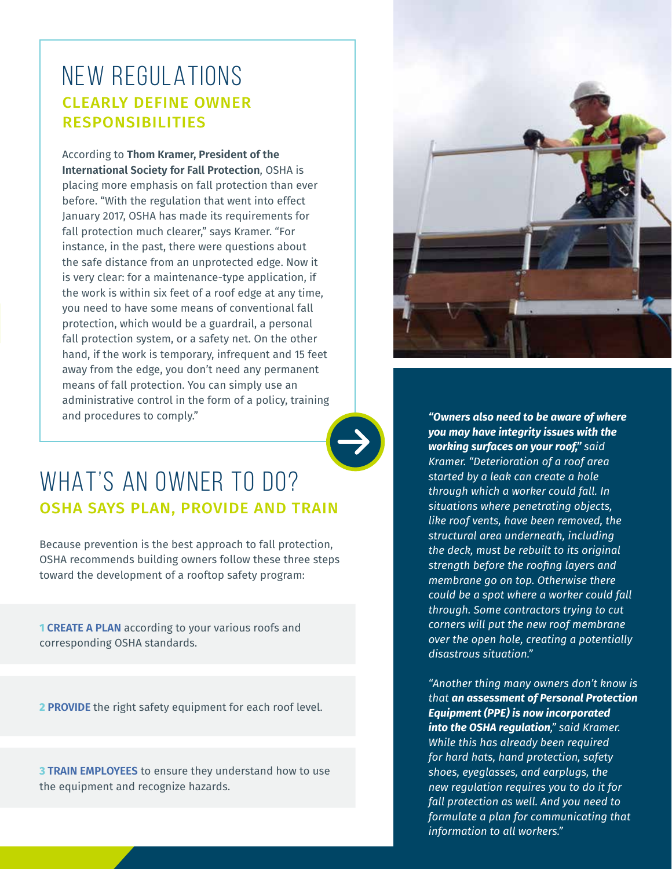### NEW REGULATIONS CLEARLY DEFINE OWNER RESPONSIBILITIES

According to **Thom Kramer, President of the International Society for Fall Protection**, OSHA is placing more emphasis on fall protection than ever before. "With the regulation that went into effect January 2017, OSHA has made its requirements for fall protection much clearer," says Kramer. "For instance, in the past, there were questions about the safe distance from an unprotected edge. Now it is very clear: for a maintenance-type application, if the work is within six feet of a roof edge at any time, you need to have some means of conventional fall protection, which would be a guardrail, a personal fall protection system, or a safety net. On the other hand, if the work is temporary, infrequent and 15 feet away from the edge, you don't need any permanent means of fall protection. You can simply use an administrative control in the form of a policy, training and procedures to comply."



# WHAT'S AN OWNER TO DO? OSHA SAYS PLAN, PROVIDE AND TRAIN

Because prevention is the best approach to fall protection, OSHA recommends building owners follow these three steps toward the development of a rooftop safety program:

**1 CREATE A PLAN** according to your various roofs and corresponding OSHA standards.

**2 PROVIDE** the right safety equipment for each roof level.

**3 TRAIN EMPLOYEES** to ensure they understand how to use the equipment and recognize hazards.



*"Owners also need to be aware of where you may have integrity issues with the working surfaces on your roof," said Kramer. "Deterioration of a roof area started by a leak can create a hole through which a worker could fall. In situations where penetrating objects, like roof vents, have been removed, the structural area underneath, including the deck, must be rebuilt to its original strength before the roofing layers and membrane go on top. Otherwise there could be a spot where a worker could fall through. Some contractors trying to cut corners will put the new roof membrane over the open hole, creating a potentially disastrous situation."*

*"Another thing many owners don't know is that an assessment of Personal Protection Equipment (PPE) is now incorporated into the OSHA regulation," said Kramer. While this has already been required for hard hats, hand protection, safety shoes, eyeglasses, and earplugs, the new regulation requires you to do it for fall protection as well. And you need to formulate a plan for communicating that information to all workers."*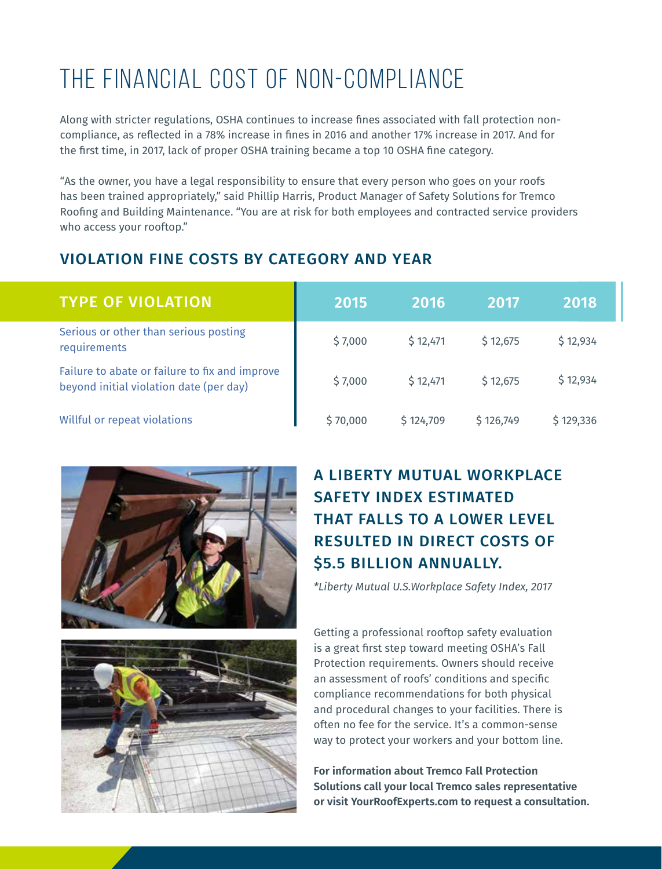# THE FINANCIAL COST OF NON-COMPLIANCE

Along with stricter regulations, OSHA continues to increase fines associated with fall protection noncompliance, as reflected in a 78% increase in fines in 2016 and another 17% increase in 2017. And for the first time, in 2017, lack of proper OSHA training became a top 10 OSHA fine category.

"As the owner, you have a legal responsibility to ensure that every person who goes on your roofs has been trained appropriately," said Phillip Harris, Product Manager of Safety Solutions for Tremco Roofing and Building Maintenance. "You are at risk for both employees and contracted service providers who access your rooftop."

#### VIOLATION FINE COSTS BY CATEGORY AND YEAR

| <b>TYPE OF VIOLATION</b>                                                                  | 2015     | 2016      | 2017      | 2018      |
|-------------------------------------------------------------------------------------------|----------|-----------|-----------|-----------|
| Serious or other than serious posting<br>requirements                                     | \$7,000  | \$12,471  | \$12,675  | \$12,934  |
| Failure to abate or failure to fix and improve<br>beyond initial violation date (per day) | \$7,000  | \$12,471  | \$12,675  | \$12,934  |
| Willful or repeat violations                                                              | \$70,000 | \$124,709 | \$126,749 | \$129,336 |





#### A LIBERTY MUTUAL WORKPLACE SAFETY INDEX ESTIMATED THAT FALLS TO A LOWER LEVEL RESULTED IN DIRECT COSTS OF \$5.5 BILLION ANNUALLY.

*\*Liberty Mutual U.S.Workplace Safety Index, 2017*

Getting a professional rooftop safety evaluation is a great first step toward meeting OSHA's Fall Protection requirements. Owners should receive an assessment of roofs' conditions and specific compliance recommendations for both physical and procedural changes to your facilities. There is often no fee for the service. It's a common-sense way to protect your workers and your bottom line.

**For information about Tremco Fall Protection Solutions call your local Tremco sales representative or visit YourRoofExperts.com to request a consultation.**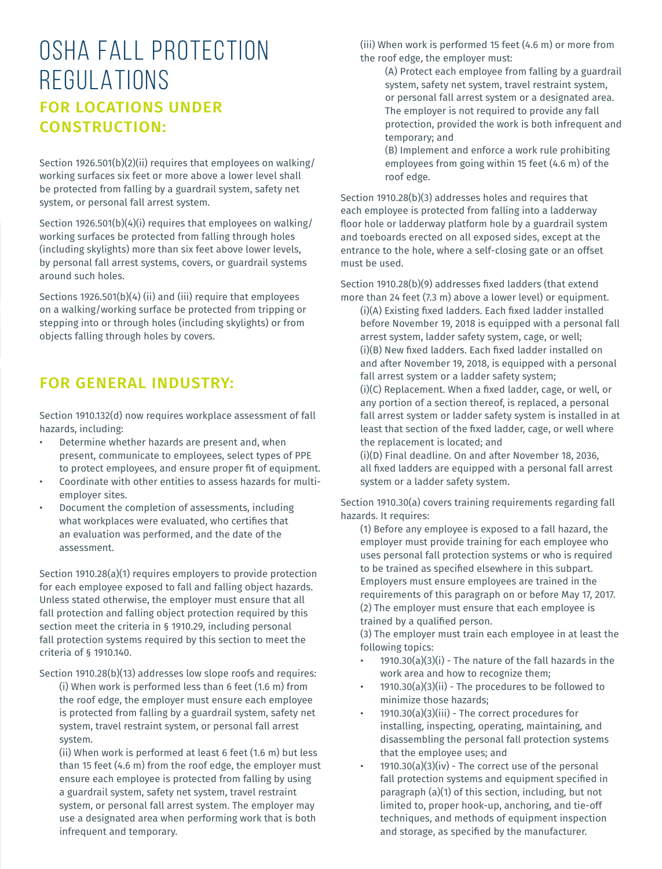## OSHA FALL PROTECTION REGULATIONS FOR LOCATIONS UNDER CONSTRUCTION:

Section 1926.501(b)(2)(ii) requires that employees on walking/ working surfaces six feet or more above a lower level shall be protected from falling by a guardrail system, safety net system, or personal fall arrest system.

Section 1926.501(b)(4)(i) requires that employees on walking/ working surfaces be protected from falling through holes (including skylights) more than six feet above lower levels, by personal fall arrest systems, covers, or guardrail systems around such holes.

Sections 1926.501(b)(4) (ii) and (iii) require that employees on a walking/working surface be protected from tripping or stepping into or through holes (including skylights) or from objects falling through holes by covers.

#### FOR GENERAL INDUSTRY:

Section 1910.132(d) now requires workplace assessment of fall hazards, including:

- Determine whether hazards are present and, when present, communicate to employees, select types of PPE to protect employees, and ensure proper fit of equipment.
- Coordinate with other entities to assess hazards for multiemployer sites.
- Document the completion of assessments, including what workplaces were evaluated, who certifies that an evaluation was performed, and the date of the assessment.

Section 1910.28(a)(1) requires employers to provide protection for each employee exposed to fall and falling object hazards. Unless stated otherwise, the employer must ensure that all fall protection and falling object protection required by this section meet the criteria in § 1910.29, including personal fall protection systems required by this section to meet the criteria of § 1910.140.

Section 1910.28(b)(13) addresses low slope roofs and requires:

(i) When work is performed less than 6 feet (1.6 m) from the roof edge, the employer must ensure each employee is protected from falling by a guardrail system, safety net system, travel restraint system, or personal fall arrest system.

(ii) When work is performed at least 6 feet (1.6 m) but less than 15 feet (4.6 m) from the roof edge, the employer must ensure each employee is protected from falling by using a guardrail system, safety net system, travel restraint system, or personal fall arrest system. The employer may use a designated area when performing work that is both infrequent and temporary.

(iii) When work is performed 15 feet (4.6 m) or more from the roof edge, the employer must:

(A) Protect each employee from falling by a guardrail system, safety net system, travel restraint system, or personal fall arrest system or a designated area. The employer is not required to provide any fall protection, provided the work is both infrequent and temporary; and

(B) Implement and enforce a work rule prohibiting employees from going within 15 feet (4.6 m) of the roof edge.

Section 1910.28(b)(3) addresses holes and requires that each employee is protected from falling into a ladderway floor hole or ladderway platform hole by a guardrail system and toeboards erected on all exposed sides, except at the entrance to the hole, where a self-closing gate or an offset must be used.

Section 1910.28(b)(9) addresses fixed ladders (that extend more than 24 feet (7.3 m) above a lower level) or equipment.

(i)(A) Existing fixed ladders. Each fixed ladder installed before November 19, 2018 is equipped with a personal fall arrest system, ladder safety system, cage, or well; (i)(B) New fixed ladders. Each fixed ladder installed on and after November 19, 2018, is equipped with a personal fall arrest system or a ladder safety system;

(i)(C) Replacement. When a fixed ladder, cage, or well, or any portion of a section thereof, is replaced, a personal fall arrest system or ladder safety system is installed in at least that section of the fixed ladder, cage, or well where the replacement is located; and

(i)(D) Final deadline. On and after November 18, 2036, all fixed ladders are equipped with a personal fall arrest system or a ladder safety system.

Section 1910.30(a) covers training requirements regarding fall hazards. It requires:

(1) Before any employee is exposed to a fall hazard, the employer must provide training for each employee who uses personal fall protection systems or who is required to be trained as specified elsewhere in this subpart. Employers must ensure employees are trained in the requirements of this paragraph on or before May 17, 2017. (2) The employer must ensure that each employee is trained by a qualified person.

(3) The employer must train each employee in at least the following topics:

- $1910.30(a)(3)(i)$  The nature of the fall hazards in the work area and how to recognize them;
- $1910.30(a)(3)(ii)$  The procedures to be followed to minimize those hazards;
- 1910.30(a)(3)(iii) The correct procedures for installing, inspecting, operating, maintaining, and disassembling the personal fall protection systems that the employee uses; and
- $1910.30(a)(3)(iv)$  The correct use of the personal fall protection systems and equipment specified in paragraph (a)(1) of this section, including, but not limited to, proper hook-up, anchoring, and tie-off techniques, and methods of equipment inspection and storage, as specified by the manufacturer.